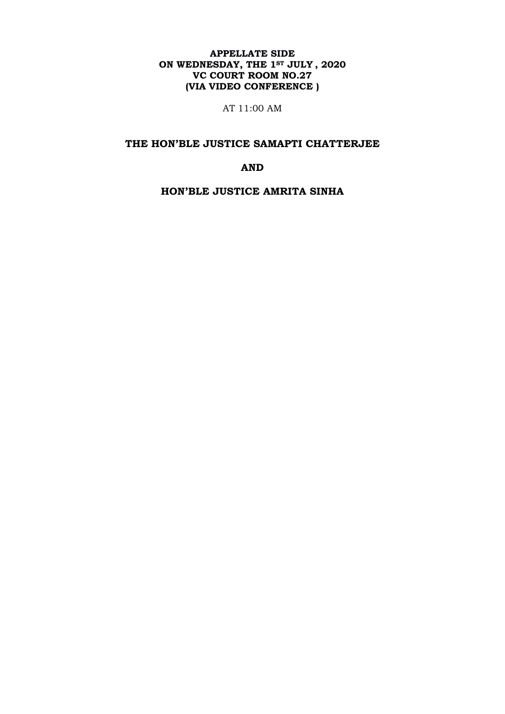# **APPELLATE SIDE ON WEDNESDAY, THE 1ST JULY , 2020 VC COURT ROOM NO.27 (VIA VIDEO CONFERENCE )**

AT 11:00 AM

# **THE HON'BLE JUSTICE SAMAPTI CHATTERJEE**

# **AND**

**HON'BLE JUSTICE AMRITA SINHA**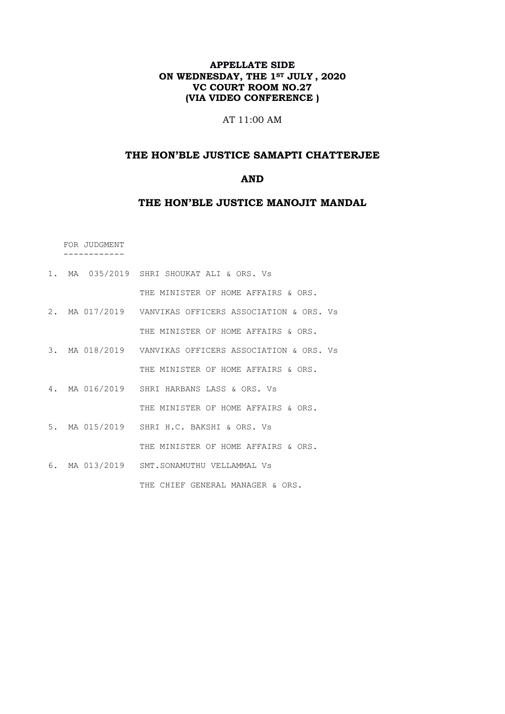## **APPELLATE SIDE ON WEDNESDAY, THE 1ST JULY , 2020 VC COURT ROOM NO.27 (VIA VIDEO CONFERENCE )**

AT 11:00 AM

# **THE HON'BLE JUSTICE SAMAPTI CHATTERJEE**

#### **AND**

# **THE HON'BLE JUSTICE MANOJIT MANDAL**

 FOR JUDGMENT ------------

|  | 1. MA 035/2019 SHRI SHOUKAT ALI & ORS. Vs               |
|--|---------------------------------------------------------|
|  | THE MINISTER OF HOME AFFAIRS & ORS.                     |
|  | 2. MA 017/2019 VANVIKAS OFFICERS ASSOCIATION & ORS. Vs  |
|  | THE MINISTER OF HOME AFFAIRS & ORS.                     |
|  | 3. MA 018/2019  VANVIKAS OFFICERS ASSOCIATION & ORS. Vs |
|  | THE MINISTER OF HOME AFFAIRS & ORS.                     |
|  | 4. MA 016/2019 SHRI HARBANS LASS & ORS. Vs              |
|  | THE MINISTER OF HOME AFFAIRS & ORS.                     |
|  | 5. MA 015/2019 SHRI H.C. BAKSHI & ORS. Vs               |
|  | THE MINISTER OF HOME AFFAIRS & ORS.                     |
|  | 6. MA 013/2019 SMT. SONAMUTHU VELLAMMAL Vs              |
|  | THE CHIEF GENERAL MANAGER & ORS.                        |